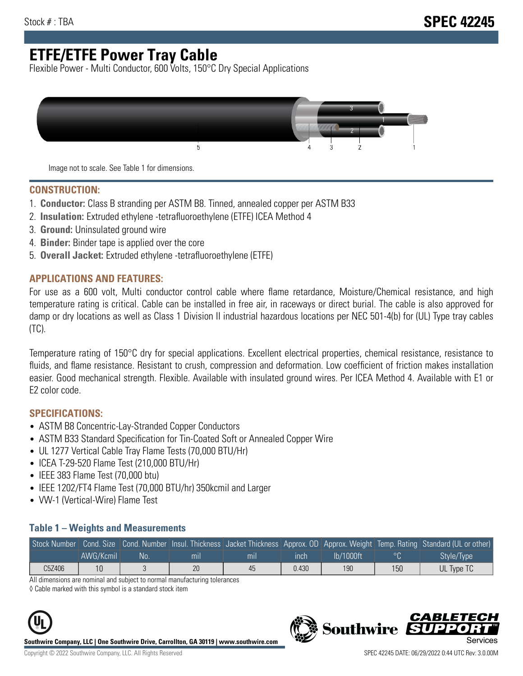# **ETFE/ETFE Power Tray Cable**

Flexible Power - Multi Conductor, 600 Volts, 150°C Dry Special Applications



Image not to scale. See Table 1 for dimensions.

#### **CONSTRUCTION:**

- 1. **Conductor:** Class B stranding per ASTM B8. Tinned, annealed copper per ASTM B33
- 2. **Insulation:** Extruded ethylene -tetrafluoroethylene (ETFE) ICEA Method 4
- 3. **Ground:** Uninsulated ground wire
- 4. **Binder:** Binder tape is applied over the core
- 5. **Overall Jacket:** Extruded ethylene -tetrafluoroethylene (ETFE)

### **APPLICATIONS AND FEATURES:**

For use as a 600 volt, Multi conductor control cable where flame retardance, Moisture/Chemical resistance, and high temperature rating is critical. Cable can be installed in free air, in raceways or direct burial. The cable is also approved for damp or dry locations as well as Class 1 Division II industrial hazardous locations per NEC 501-4(b) for (UL) Type tray cables (TC).

Temperature rating of 150°C dry for special applications. Excellent electrical properties, chemical resistance, resistance to fluids, and flame resistance. Resistant to crush, compression and deformation. Low coefficient of friction makes installation easier. Good mechanical strength. Flexible. Available with insulated ground wires. Per ICEA Method 4. Available with E1 or E2 color code.

### **SPECIFICATIONS:**

- ASTM B8 Concentric-Lay-Stranded Copper Conductors
- ASTM B33 Standard Specification for Tin-Coated Soft or Annealed Copper Wire
- UL 1277 Vertical Cable Tray Flame Tests (70,000 BTU/Hr)
- ICEA T-29-520 Flame Test (210,000 BTU/Hr)
- IEEE 383 Flame Test (70,000 btu)
- IEEE 1202/FT4 Flame Test (70,000 BTU/hr) 350kcmil and Larger
- VW-1 (Vertical-Wire) Flame Test

#### **Table 1 – Weights and Measurements**

|        |           |     |     |     |       |           |     | Stock Number Cond. Size Cond. Number Insul. Thickness Jacket Thickness Approx. OD Approx. Weight Temp. Rating Standard (UL or other) |
|--------|-----------|-----|-----|-----|-------|-----------|-----|--------------------------------------------------------------------------------------------------------------------------------------|
|        | AWG/Kcmil | No. | mıl | mil | inch  | lb/1000ft | ്റ  | Style/Type                                                                                                                           |
| C5Z406 |           |     | 20  | 45  | 0.430 | 190       | 150 | UL Type TC                                                                                                                           |

All dimensions are nominal and subject to normal manufacturing tolerances

◊ Cable marked with this symbol is a standard stock item



**Southwire Company, LLC | One Southwire Drive, Carrollton, GA 30119 | www.southwire.com**